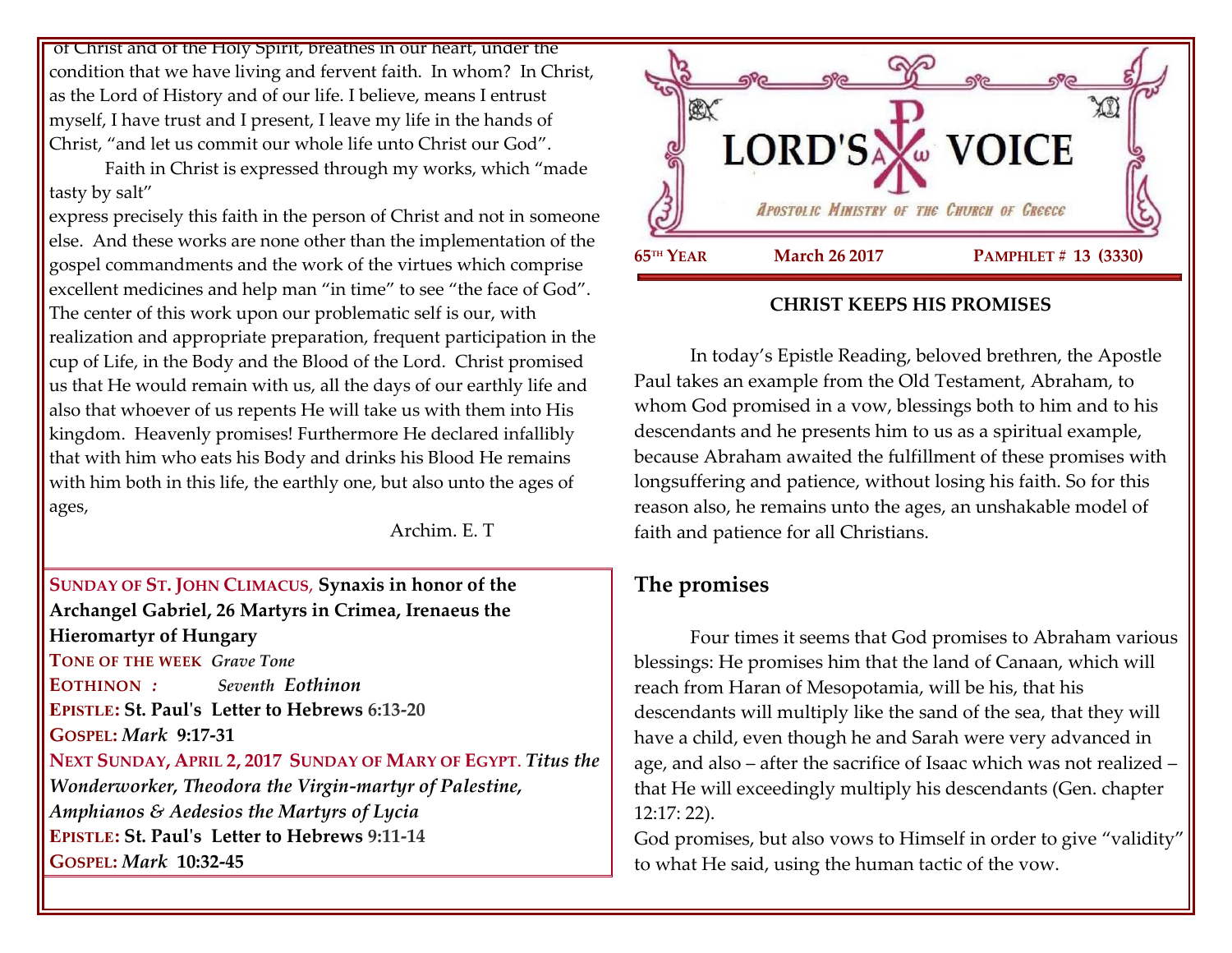of Christ and of the Holy Spirit, breathes in our heart, under the condition that we have living and fervent faith. In whom? In Christ, as the Lord of History and of our life. I believe, means I entrust myself, I have trust and I present, I leave my life in the hands of Christ, "and let us commit our whole life unto Christ our God".

Faith in Christ is expressed through my works, which "made tasty by salt"

express precisely this faith in the person of Christ and not in someone else. And these works are none other than the implementation of the gospel commandments and the work of the virtues which comprise excellent medicines and help man "in time" to see "the face of God". The center of this work upon our problematic self is our, with realization and appropriate preparation, frequent participation in the cup of Life, in the Body and the Blood of the Lord. Christ promised us that He would remain with us, all the days of our earthly life and also that whoever of us repents He will take us with them into His kingdom. Heavenly promises! Furthermore He declared infallibly that with him who eats his Body and drinks his Blood He remains with him both in this life, the earthly one, but also unto the ages of ages,

Archim. E. T

### **SUNDAY OF ST. JOHN CLIMACUS**, **Synaxis in honor of the Archangel Gabriel, 26 Martyrs in Crimea, Irenaeus the Hieromartyr of Hungary TONE OF THE WEEK** *Grave Tone* **EOTHINON** *: Seventh Eothinon* **EPISTLE: St. Paul's Letter to Hebrews 6:13-20 GOSPEL:** *Mark* **9:17-31**

**NEXT SUNDAY, APRIL 2, 2017 SUNDAY OF MARY OF EGYPT**. *Titus the Wonderworker, Theodora the Virgin-martyr of Palestine, Amphianos & Aedesios the Martyrs of Lycia* **EPISTLE: St. Paul's Letter to Hebrews 9:11-14 GOSPEL:** *Mark* **10:32-45**



#### **CHRIST KEEPS HIS PROMISES**

In today's Epistle Reading, beloved brethren, the Apostle Paul takes an example from the Old Testament, Abraham, to whom God promised in a vow, blessings both to him and to his descendants and he presents him to us as a spiritual example, because Abraham awaited the fulfillment of these promises with longsuffering and patience, without losing his faith. So for this reason also, he remains unto the ages, an unshakable model of faith and patience for all Christians.

## **The promises**

Four times it seems that God promises to Abraham various blessings: He promises him that the land of Canaan, which will reach from Haran of Mesopotamia, will be his, that his descendants will multiply like the sand of the sea, that they will have a child, even though he and Sarah were very advanced in age, and also – after the sacrifice of Isaac which was not realized – that He will exceedingly multiply his descendants (Gen. chapter 12:17: 22).

God promises, but also vows to Himself in order to give "validity" to what He said, using the human tactic of the vow.